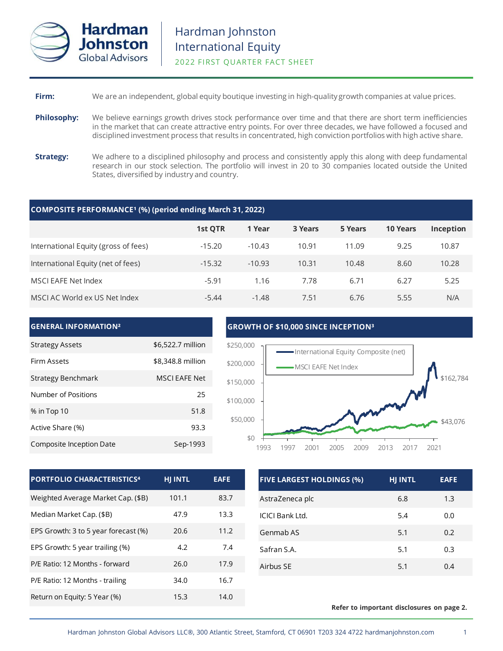

| Firm: |  |  |  | We are an independent, global equity boutique investing in high-quality growth companies at value prices. |
|-------|--|--|--|-----------------------------------------------------------------------------------------------------------|
|-------|--|--|--|-----------------------------------------------------------------------------------------------------------|

- **Philosophy:** We believe earnings growth drives stock performance over time and that there are short term inefficiencies in the market that can create attractive entry points. For over three decades, we have followed a focused and disciplined investment process that results in concentrated, high conviction portfolios with high active share.
- **Strategy:** We adhere to a disciplined philosophy and process and consistently apply this along with deep fundamental research in our stock selection. The portfolio will invest in 20 to 30 companies located outside the United States, diversified by industry and country.

## **COMPOSITE PERFORMANCE¹ (%) (period ending March 31, 2022)**

|                                      | 1st QTR  | 1 Year   | 3 Years | 5 Years | <b>10 Years</b> | Inception |
|--------------------------------------|----------|----------|---------|---------|-----------------|-----------|
| International Equity (gross of fees) | $-15.20$ | $-10.43$ | 10.91   | 11.09   | 9.25            | 10.87     |
| International Equity (net of fees)   | $-15.32$ | $-10.93$ | 10.31   | 10.48   | 8.60            | 10.28     |
| MSCI EAFE Net Index                  | $-5.91$  | 1.16     | 7.78    | 6.71    | 6.27            | 5.25      |
| MSCI AC World ex US Net Index        | $-5.44$  | $-1.48$  | 7.51    | 6.76    | 5.55            | N/A       |



| <b>PORTFOLIO CHARACTERISTICS4</b>    | <b>HJ INTL</b> | <b>EAFE</b> |
|--------------------------------------|----------------|-------------|
| Weighted Average Market Cap. (\$B)   | 101.1          | 83.7        |
| Median Market Cap. (\$B)             | 47.9           | 13.3        |
| EPS Growth: 3 to 5 year forecast (%) | 20.6           | 11.2        |
| EPS Growth: 5 year trailing (%)      | 4.2            | 7.4         |
| P/E Ratio: 12 Months - forward       | 26.0           | 17.9        |
| P/E Ratio: 12 Months - trailing      | 34.0           | 16.7        |
| Return on Equity: 5 Year (%)         | 15.3           | 14.0        |

| <b>FIVE LARGEST HOLDINGS (%)</b> | <b>HJ INTL</b> | <b>EAFE</b> |
|----------------------------------|----------------|-------------|
| AstraZeneca plc                  | 6.8            | 1.3         |
| ICICI Bank Ltd.                  | 5.4            | 0.0         |
| Genmab AS                        | 5.1            | 0.2         |
| Safran S.A.                      | 5.1            | 0.3         |
| Airbus SE                        | 5.1            | 0.4         |

#### **Refer to important disclosures on page 2.**